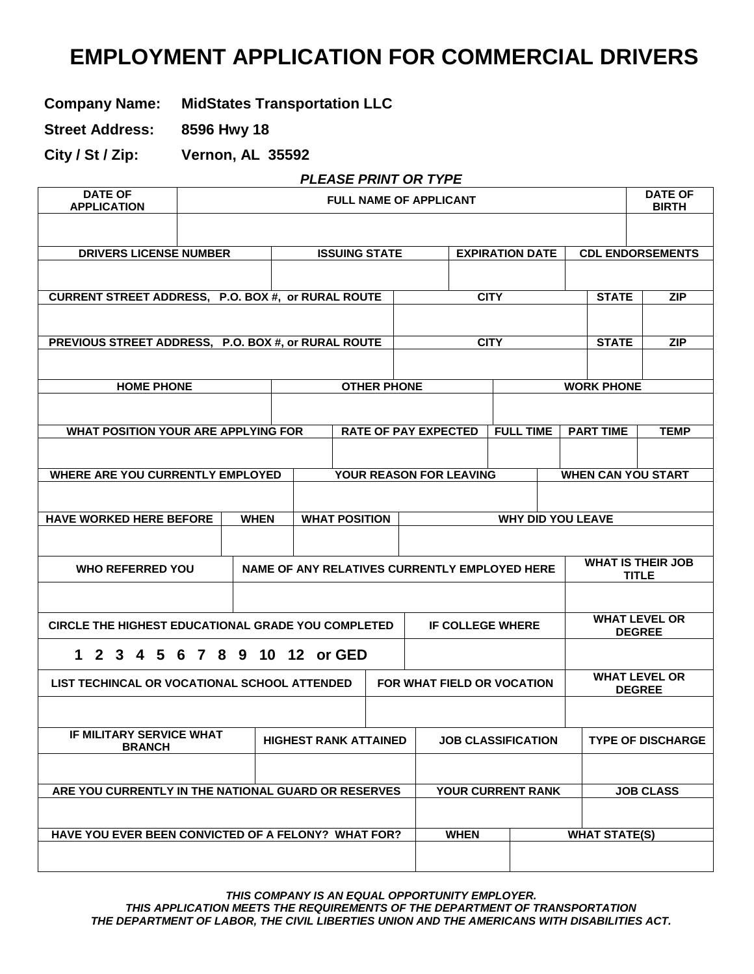# **EMPLOYMENT APPLICATION FOR COMMERCIAL DRIVERS**

**Company Name: MidStates Transportation LLC**

**Street Address: 8596 Hwy 18** 

**City / St / Zip: Vernon, AL 35592**

#### *PLEASE PRINT OR TYPE*

| <b>DATE OF</b><br><b>APPLICATION</b>                      |  |             |  |                                               | <b>FULL NAME OF APPLICANT</b> |                                                |                         |                            |             |                           |                         |                           |               | <b>DATE OF</b><br><b>BIRTH</b> |
|-----------------------------------------------------------|--|-------------|--|-----------------------------------------------|-------------------------------|------------------------------------------------|-------------------------|----------------------------|-------------|---------------------------|-------------------------|---------------------------|---------------|--------------------------------|
|                                                           |  |             |  |                                               |                               |                                                |                         |                            |             |                           |                         |                           |               |                                |
| <b>DRIVERS LICENSE NUMBER</b>                             |  |             |  |                                               |                               | <b>ISSUING STATE</b><br><b>EXPIRATION DATE</b> |                         |                            |             |                           | <b>CDL ENDORSEMENTS</b> |                           |               |                                |
|                                                           |  |             |  |                                               |                               |                                                |                         |                            |             |                           |                         |                           |               |                                |
| CURRENT STREET ADDRESS, P.O. BOX #, or RURAL ROUTE        |  |             |  |                                               |                               |                                                |                         |                            | <b>CITY</b> |                           |                         | <b>STATE</b>              |               | <b>ZIP</b>                     |
|                                                           |  |             |  |                                               |                               |                                                |                         |                            |             |                           |                         |                           |               |                                |
| PREVIOUS STREET ADDRESS, P.O. BOX #, or RURAL ROUTE       |  |             |  |                                               |                               |                                                |                         |                            | <b>CITY</b> |                           |                         | <b>STATE</b>              |               | <b>ZIP</b>                     |
|                                                           |  |             |  |                                               |                               |                                                |                         |                            |             |                           |                         |                           |               |                                |
| <b>HOME PHONE</b>                                         |  |             |  |                                               | <b>OTHER PHONE</b>            |                                                |                         |                            |             |                           |                         | <b>WORK PHONE</b>         |               |                                |
|                                                           |  |             |  |                                               |                               |                                                |                         |                            |             |                           |                         |                           |               |                                |
| <b>WHAT POSITION YOUR ARE APPLYING FOR</b>                |  |             |  |                                               | <b>RATE OF PAY EXPECTED</b>   |                                                |                         |                            |             | <b>FULL TIME</b>          |                         | <b>PART TIME</b>          |               | <b>TEMP</b>                    |
|                                                           |  |             |  |                                               |                               |                                                |                         |                            |             |                           |                         |                           |               |                                |
| WHERE ARE YOU CURRENTLY EMPLOYED                          |  |             |  |                                               | YOUR REASON FOR LEAVING       |                                                |                         |                            |             |                           |                         | <b>WHEN CAN YOU START</b> |               |                                |
|                                                           |  |             |  |                                               |                               |                                                |                         |                            |             |                           |                         |                           |               |                                |
| <b>HAVE WORKED HERE BEFORE</b>                            |  | <b>WHEN</b> |  | <b>WHAT POSITION</b>                          |                               |                                                |                         |                            |             | <b>WHY DID YOU LEAVE</b>  |                         |                           |               |                                |
|                                                           |  |             |  |                                               |                               |                                                |                         |                            |             |                           |                         |                           |               |                                |
| <b>WHO REFERRED YOU</b>                                   |  |             |  | NAME OF ANY RELATIVES CURRENTLY EMPLOYED HERE |                               |                                                |                         |                            |             |                           |                         |                           | <b>TITLE</b>  | <b>WHAT IS THEIR JOB</b>       |
|                                                           |  |             |  |                                               |                               |                                                |                         |                            |             |                           |                         |                           |               |                                |
|                                                           |  |             |  |                                               |                               |                                                |                         |                            |             |                           |                         |                           |               | <b>WHAT LEVEL OR</b>           |
| <b>CIRCLE THE HIGHEST EDUCATIONAL GRADE YOU COMPLETED</b> |  |             |  |                                               |                               |                                                | <b>IF COLLEGE WHERE</b> |                            |             |                           |                         | <b>DEGREE</b>             |               |                                |
| 1 2 3 4 5 6 7 8 9                                         |  |             |  | 10 12 or GED                                  |                               |                                                |                         |                            |             |                           |                         |                           |               |                                |
| LIST TECHINCAL OR VOCATIONAL SCHOOL ATTENDED              |  |             |  |                                               |                               |                                                |                         | FOR WHAT FIELD OR VOCATION |             |                           |                         |                           | <b>DEGREE</b> | <b>WHAT LEVEL OR</b>           |
|                                                           |  |             |  |                                               |                               |                                                |                         |                            |             |                           |                         |                           |               |                                |
| <b>IF MILITARY SERVICE WHAT</b><br><b>BRANCH</b>          |  |             |  | <b>HIGHEST RANK ATTAINED</b>                  |                               |                                                |                         |                            |             | <b>JOB CLASSIFICATION</b> |                         |                           |               | <b>TYPE OF DISCHARGE</b>       |
|                                                           |  |             |  |                                               |                               |                                                |                         |                            |             |                           |                         |                           |               |                                |
| ARE YOU CURRENTLY IN THE NATIONAL GUARD OR RESERVES       |  |             |  |                                               |                               |                                                |                         |                            |             | YOUR CURRENT RANK         |                         |                           |               | <b>JOB CLASS</b>               |
|                                                           |  |             |  |                                               |                               |                                                |                         |                            |             |                           |                         |                           |               |                                |
| HAVE YOU EVER BEEN CONVICTED OF A FELONY? WHAT FOR?       |  |             |  |                                               |                               |                                                |                         | <b>WHEN</b>                |             |                           |                         | <b>WHAT STATE(S)</b>      |               |                                |
|                                                           |  |             |  |                                               |                               |                                                |                         |                            |             |                           |                         |                           |               |                                |

*THIS COMPANY IS AN EQUAL OPPORTUNITY EMPLOYER. THIS APPLICATION MEETS THE REQUIREMENTS OF THE DEPARTMENT OF TRANSPORTATION THE DEPARTMENT OF LABOR, THE CIVIL LIBERTIES UNION AND THE AMERICANS WITH DISABILITIES ACT.*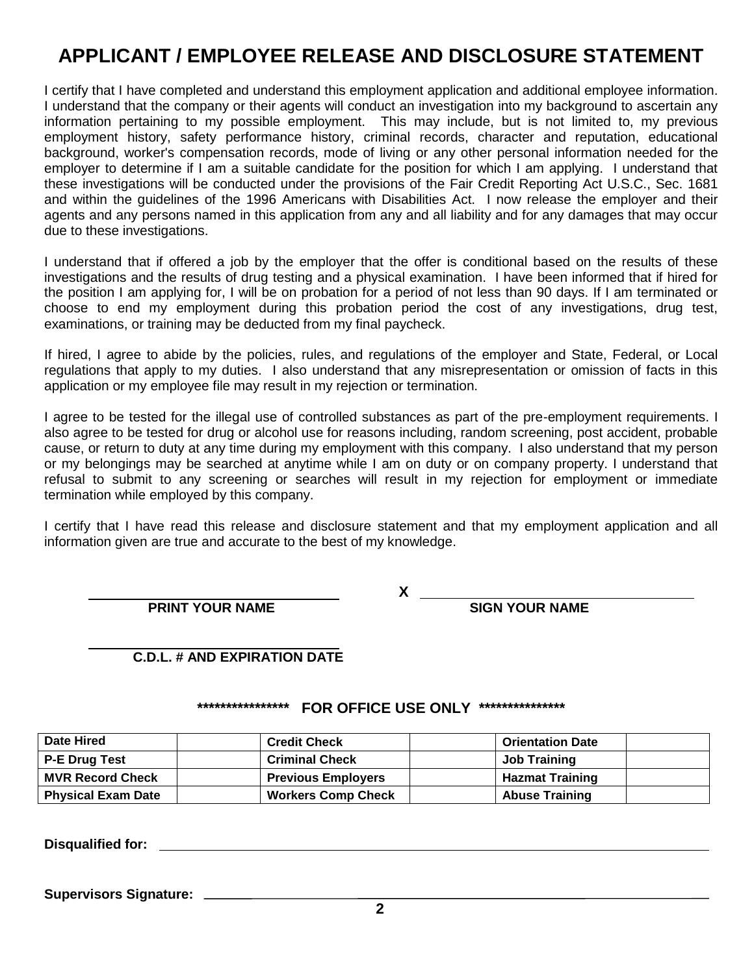# **APPLICANT / EMPLOYEE RELEASE AND DISCLOSURE STATEMENT**

I certify that I have completed and understand this employment application and additional employee information. I understand that the company or their agents will conduct an investigation into my background to ascertain any information pertaining to my possible employment. This may include, but is not limited to, my previous employment history, safety performance history, criminal records, character and reputation, educational background, worker's compensation records, mode of living or any other personal information needed for the employer to determine if I am a suitable candidate for the position for which I am applying. I understand that these investigations will be conducted under the provisions of the Fair Credit Reporting Act U.S.C., Sec. 1681 and within the guidelines of the 1996 Americans with Disabilities Act. I now release the employer and their agents and any persons named in this application from any and all liability and for any damages that may occur due to these investigations.

I understand that if offered a job by the employer that the offer is conditional based on the results of these investigations and the results of drug testing and a physical examination. I have been informed that if hired for the position I am applying for, I will be on probation for a period of not less than 90 days. If I am terminated or choose to end my employment during this probation period the cost of any investigations, drug test, examinations, or training may be deducted from my final paycheck.

If hired, I agree to abide by the policies, rules, and regulations of the employer and State, Federal, or Local regulations that apply to my duties. I also understand that any misrepresentation or omission of facts in this application or my employee file may result in my rejection or termination.

I agree to be tested for the illegal use of controlled substances as part of the pre-employment requirements. I also agree to be tested for drug or alcohol use for reasons including, random screening, post accident, probable cause, or return to duty at any time during my employment with this company. I also understand that my person or my belongings may be searched at anytime while I am on duty or on company property. I understand that refusal to submit to any screening or searches will result in my rejection for employment or immediate termination while employed by this company.

I certify that I have read this release and disclosure statement and that my employment application and all information given are true and accurate to the best of my knowledge.

**X PRINT YOUR NAME SIGN YOUR NAME**

#### **C.D.L. # AND EXPIRATION DATE**

#### **\*\*\*\*\*\*\*\*\*\*\*\*\*\*\*\* FOR OFFICE USE ONLY \*\*\*\*\*\*\*\*\*\*\*\*\*\*\***

| <b>Date Hired</b>         | <b>Credit Check</b>       | <b>Orientation Date</b> |
|---------------------------|---------------------------|-------------------------|
| <b>P-E Drug Test</b>      | <b>Criminal Check</b>     | Job Training            |
| <b>MVR Record Check</b>   | <b>Previous Employers</b> | <b>Hazmat Training</b>  |
| <b>Physical Exam Date</b> | <b>Workers Comp Check</b> | <b>Abuse Training</b>   |

**Disqualified for:** 

**Supervisors Signature:**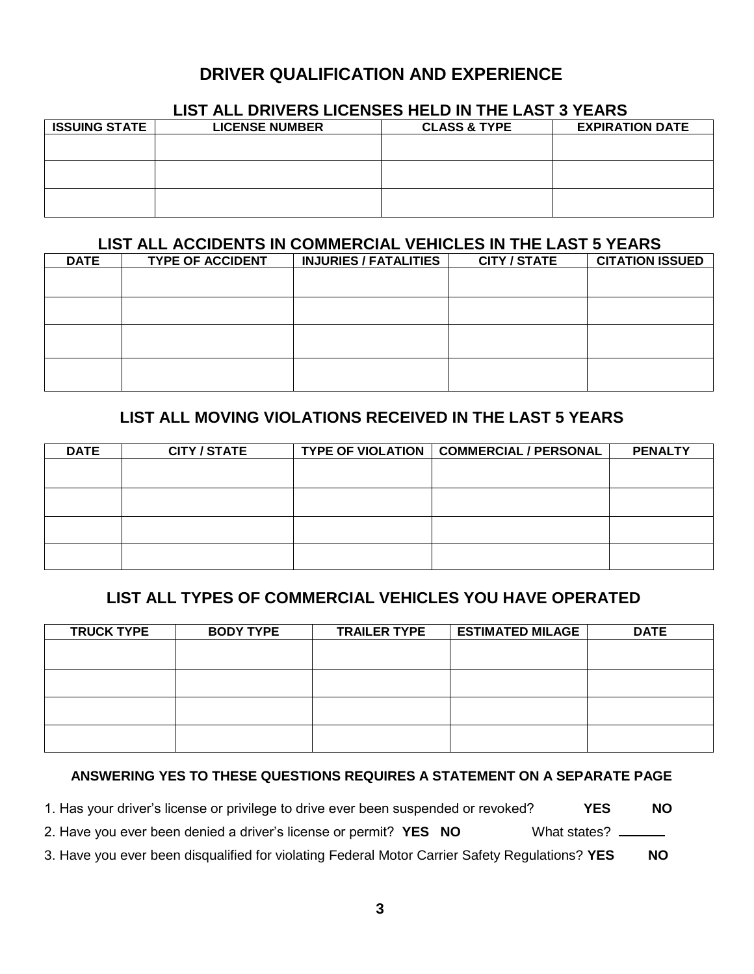# **DRIVER QUALIFICATION AND EXPERIENCE**

## **LIST ALL DRIVERS LICENSES HELD IN THE LAST 3 YEARS**

| <b>LICENSE NUMBER</b> | <b>CLASS &amp; TYPE</b> | <b>EXPIRATION DATE</b> |
|-----------------------|-------------------------|------------------------|
|                       |                         |                        |
|                       |                         |                        |
|                       |                         |                        |
|                       |                         |                        |
|                       |                         |                        |
|                       |                         |                        |
|                       |                         |                        |

### **LIST ALL ACCIDENTS IN COMMERCIAL VEHICLES IN THE LAST 5 YEARS**

| <b>DATE</b> | <b>TYPE OF ACCIDENT</b> | <b>INJURIES / FATALITIES</b> | <b>CITY / STATE</b> | <b>CITATION ISSUED</b> |
|-------------|-------------------------|------------------------------|---------------------|------------------------|
|             |                         |                              |                     |                        |
|             |                         |                              |                     |                        |
|             |                         |                              |                     |                        |
|             |                         |                              |                     |                        |
|             |                         |                              |                     |                        |
|             |                         |                              |                     |                        |
|             |                         |                              |                     |                        |
|             |                         |                              |                     |                        |

## **LIST ALL MOVING VIOLATIONS RECEIVED IN THE LAST 5 YEARS**

| <b>DATE</b> | <b>CITY / STATE</b> | TYPE OF VIOLATION   COMMERCIAL / PERSONAL | <b>PENALTY</b> |
|-------------|---------------------|-------------------------------------------|----------------|
|             |                     |                                           |                |
|             |                     |                                           |                |
|             |                     |                                           |                |
|             |                     |                                           |                |
|             |                     |                                           |                |
|             |                     |                                           |                |
|             |                     |                                           |                |
|             |                     |                                           |                |

## **LIST ALL TYPES OF COMMERCIAL VEHICLES YOU HAVE OPERATED**

| <b>TRUCK TYPE</b> | <b>BODY TYPE</b> | <b>TRAILER TYPE</b> | <b>ESTIMATED MILAGE</b> | <b>DATE</b> |
|-------------------|------------------|---------------------|-------------------------|-------------|
|                   |                  |                     |                         |             |
|                   |                  |                     |                         |             |
|                   |                  |                     |                         |             |
|                   |                  |                     |                         |             |
|                   |                  |                     |                         |             |
|                   |                  |                     |                         |             |
|                   |                  |                     |                         |             |
|                   |                  |                     |                         |             |

#### **ANSWERING YES TO THESE QUESTIONS REQUIRES A STATEMENT ON A SEPARATE PAGE**

| 1. Has your driver's license or privilege to drive ever been suspended or revoked? |  | <b>NO</b> |
|------------------------------------------------------------------------------------|--|-----------|
|------------------------------------------------------------------------------------|--|-----------|

2. Have you ever been denied a driver's license or permit? **YES NO** What states?

3. Have you ever been disqualified for violating Federal Motor Carrier Safety Regulations? **YES NO**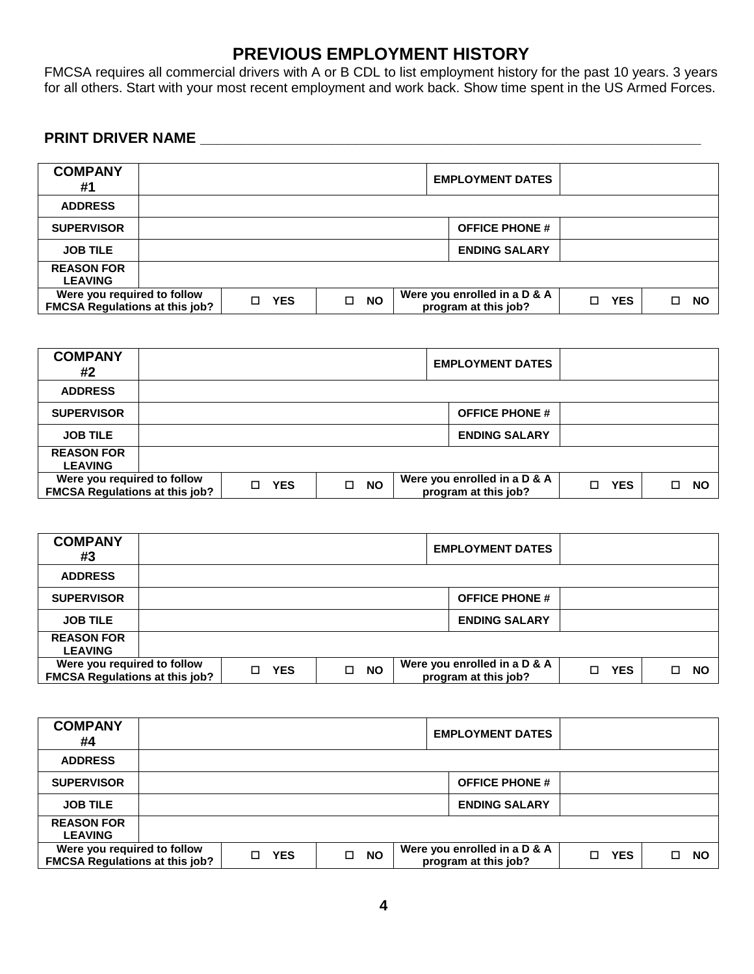# **PREVIOUS EMPLOYMENT HISTORY**

FMCSA requires all commercial drivers with A or B CDL to list employment history for the past 10 years. 3 years for all others. Start with your most recent employment and work back. Show time spent in the US Armed Forces.

## **PRINT DRIVER NAME \_\_\_\_\_\_\_\_\_\_\_\_\_\_\_\_\_\_\_\_\_\_\_\_\_\_\_\_\_\_\_\_\_\_\_\_\_\_\_\_\_\_\_\_\_\_\_\_\_\_\_\_\_\_\_\_\_\_\_\_\_**

| <b>COMPANY</b><br>#1                                                 |    | <b>EMPLOYMENT DATES</b> |   |           |  |                                                      |   |            |           |
|----------------------------------------------------------------------|----|-------------------------|---|-----------|--|------------------------------------------------------|---|------------|-----------|
| <b>ADDRESS</b>                                                       |    |                         |   |           |  |                                                      |   |            |           |
| <b>SUPERVISOR</b>                                                    |    |                         |   |           |  | <b>OFFICE PHONE #</b>                                |   |            |           |
| <b>JOB TILE</b>                                                      |    |                         |   |           |  | <b>ENDING SALARY</b>                                 |   |            |           |
| <b>REASON FOR</b><br><b>LEAVING</b>                                  |    |                         |   |           |  |                                                      |   |            |           |
| Were you required to follow<br><b>FMCSA Regulations at this job?</b> | п. | <b>YES</b>              | □ | <b>NO</b> |  | Were you enrolled in a D & A<br>program at this job? | п | <b>YES</b> | <b>NO</b> |

| <b>COMPANY</b><br>#2                                                 |        |            |   |           |                                                      | <b>EMPLOYMENT DATES</b> |            |           |  |
|----------------------------------------------------------------------|--------|------------|---|-----------|------------------------------------------------------|-------------------------|------------|-----------|--|
| <b>ADDRESS</b>                                                       |        |            |   |           |                                                      |                         |            |           |  |
| <b>SUPERVISOR</b>                                                    |        |            |   |           |                                                      | <b>OFFICE PHONE #</b>   |            |           |  |
| <b>JOB TILE</b>                                                      |        |            |   |           |                                                      | <b>ENDING SALARY</b>    |            |           |  |
| <b>REASON FOR</b><br><b>LEAVING</b>                                  |        |            |   |           |                                                      |                         |            |           |  |
| Were you required to follow<br><b>FMCSA Regulations at this job?</b> | $\Box$ | <b>YES</b> | □ | <b>NO</b> | Were you enrolled in a D & A<br>program at this job? | $\Box$                  | <b>YES</b> | <b>NO</b> |  |

| <b>COMPANY</b><br>#3                                                 |            |                | <b>EMPLOYMENT DATES</b>                              |                  |           |
|----------------------------------------------------------------------|------------|----------------|------------------------------------------------------|------------------|-----------|
| <b>ADDRESS</b>                                                       |            |                |                                                      |                  |           |
| <b>SUPERVISOR</b>                                                    |            |                | <b>OFFICE PHONE #</b>                                |                  |           |
| <b>JOB TILE</b>                                                      |            |                | <b>ENDING SALARY</b>                                 |                  |           |
| <b>REASON FOR</b><br><b>LEAVING</b>                                  |            |                |                                                      |                  |           |
| Were you required to follow<br><b>FMCSA Regulations at this job?</b> | <b>YES</b> | <b>NO</b><br>□ | Were you enrolled in a D & A<br>program at this job? | <b>YES</b><br>П. | <b>NO</b> |

| <b>COMPANY</b><br>#4                                                 |  |    |            |   | <b>EMPLOYMENT DATES</b> |                                                      |    |            |   |           |
|----------------------------------------------------------------------|--|----|------------|---|-------------------------|------------------------------------------------------|----|------------|---|-----------|
| <b>ADDRESS</b>                                                       |  |    |            |   |                         |                                                      |    |            |   |           |
| <b>SUPERVISOR</b>                                                    |  |    |            |   |                         | <b>OFFICE PHONE #</b>                                |    |            |   |           |
| <b>JOB TILE</b>                                                      |  |    |            |   |                         | <b>ENDING SALARY</b>                                 |    |            |   |           |
| <b>REASON FOR</b><br><b>LEAVING</b>                                  |  |    |            |   |                         |                                                      |    |            |   |           |
| Were you required to follow<br><b>FMCSA Regulations at this job?</b> |  | П. | <b>YES</b> | □ | <b>NO</b>               | Were you enrolled in a D & A<br>program at this job? | п. | <b>YES</b> | □ | <b>NO</b> |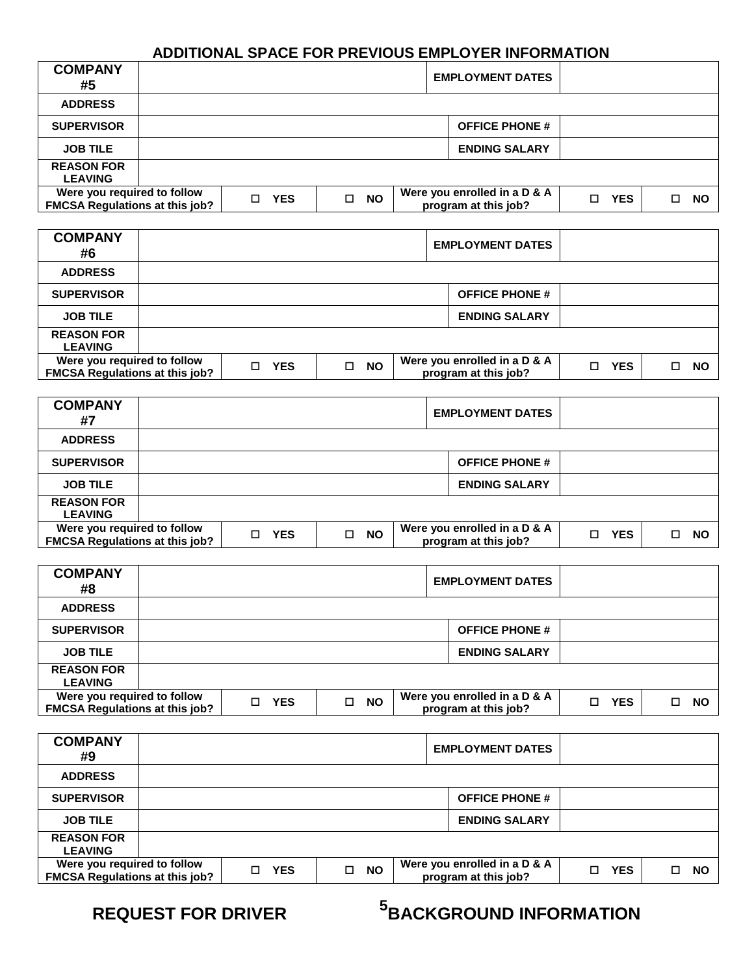## **ADDITIONAL SPACE FOR PREVIOUS EMPLOYER INFORMATION**

| <b>COMPANY</b><br>#5                                                 |                                     |  | <b>EMPLOYMENT DATES</b> |  |  |  |                                                      |    |            |    |           |
|----------------------------------------------------------------------|-------------------------------------|--|-------------------------|--|--|--|------------------------------------------------------|----|------------|----|-----------|
| <b>ADDRESS</b>                                                       |                                     |  |                         |  |  |  |                                                      |    |            |    |           |
| <b>SUPERVISOR</b>                                                    |                                     |  |                         |  |  |  | <b>OFFICE PHONE #</b>                                |    |            |    |           |
| <b>JOB TILE</b>                                                      |                                     |  |                         |  |  |  | <b>ENDING SALARY</b>                                 |    |            |    |           |
| <b>REASON FOR</b><br><b>LEAVING</b>                                  |                                     |  |                         |  |  |  |                                                      |    |            |    |           |
| Were you required to follow<br><b>FMCSA Regulations at this job?</b> | <b>NO</b><br><b>YES</b><br>П.<br>Π. |  |                         |  |  |  | Were you enrolled in a D & A<br>program at this job? | П. | <b>YES</b> | П. | <b>NO</b> |

| <b>COMPANY</b><br>#6                                                 |    |            |   |           | <b>EMPLOYMENT DATES</b>                              |    |            |           |
|----------------------------------------------------------------------|----|------------|---|-----------|------------------------------------------------------|----|------------|-----------|
| <b>ADDRESS</b>                                                       |    |            |   |           |                                                      |    |            |           |
| <b>SUPERVISOR</b>                                                    |    |            |   |           | <b>OFFICE PHONE #</b>                                |    |            |           |
| <b>JOB TILE</b>                                                      |    |            |   |           | <b>ENDING SALARY</b>                                 |    |            |           |
| <b>REASON FOR</b><br><b>LEAVING</b>                                  |    |            |   |           |                                                      |    |            |           |
| Were you required to follow<br><b>FMCSA Regulations at this job?</b> | П. | <b>YES</b> | □ | <b>NO</b> | Were you enrolled in a D & A<br>program at this job? | П. | <b>YES</b> | <b>NO</b> |

| <b>COMPANY</b><br>#7                                                 |                 |                | <b>EMPLOYMENT DATES</b>                              |                      |           |
|----------------------------------------------------------------------|-----------------|----------------|------------------------------------------------------|----------------------|-----------|
| <b>ADDRESS</b>                                                       |                 |                |                                                      |                      |           |
| <b>SUPERVISOR</b>                                                    |                 |                | <b>OFFICE PHONE #</b>                                |                      |           |
| <b>JOB TILE</b>                                                      |                 |                | <b>ENDING SALARY</b>                                 |                      |           |
| <b>REASON FOR</b><br><b>LEAVING</b>                                  |                 |                |                                                      |                      |           |
| Were you required to follow<br><b>FMCSA Regulations at this job?</b> | <b>YES</b><br>П | <b>NO</b><br>□ | Were you enrolled in a D & A<br>program at this job? | <b>YES</b><br>$\Box$ | <b>NO</b> |

| <b>COMPANY</b><br>#8                                                 |   |            |   |           | <b>EMPLOYMENT DATES</b>                              |   |            |           |
|----------------------------------------------------------------------|---|------------|---|-----------|------------------------------------------------------|---|------------|-----------|
| <b>ADDRESS</b>                                                       |   |            |   |           |                                                      |   |            |           |
| <b>SUPERVISOR</b>                                                    |   |            |   |           | <b>OFFICE PHONE #</b>                                |   |            |           |
| <b>JOB TILE</b>                                                      |   |            |   |           | <b>ENDING SALARY</b>                                 |   |            |           |
| <b>REASON FOR</b><br><b>LEAVING</b>                                  |   |            |   |           |                                                      |   |            |           |
| Were you required to follow<br><b>FMCSA Regulations at this job?</b> | п | <b>YES</b> | □ | <b>NO</b> | Were you enrolled in a D & A<br>program at this job? | П | <b>YES</b> | <b>NO</b> |

| <b>COMPANY</b><br>#9                                                 |                  |                     | <b>EMPLOYMENT DATES</b>                              |                  |                |
|----------------------------------------------------------------------|------------------|---------------------|------------------------------------------------------|------------------|----------------|
| <b>ADDRESS</b>                                                       |                  |                     |                                                      |                  |                |
| <b>SUPERVISOR</b>                                                    |                  |                     | <b>OFFICE PHONE #</b>                                |                  |                |
| <b>JOB TILE</b>                                                      |                  |                     | <b>ENDING SALARY</b>                                 |                  |                |
| <b>REASON FOR</b><br><b>LEAVING</b>                                  |                  |                     |                                                      |                  |                |
| Were you required to follow<br><b>FMCSA Regulations at this job?</b> | <b>YES</b><br>П. | $\Box$<br><b>NO</b> | Were you enrolled in a D & A<br>program at this job? | <b>YES</b><br>П. | <b>NO</b><br>п |

# **5 REQUEST FOR DRIVER BACKGROUND INFORMATION**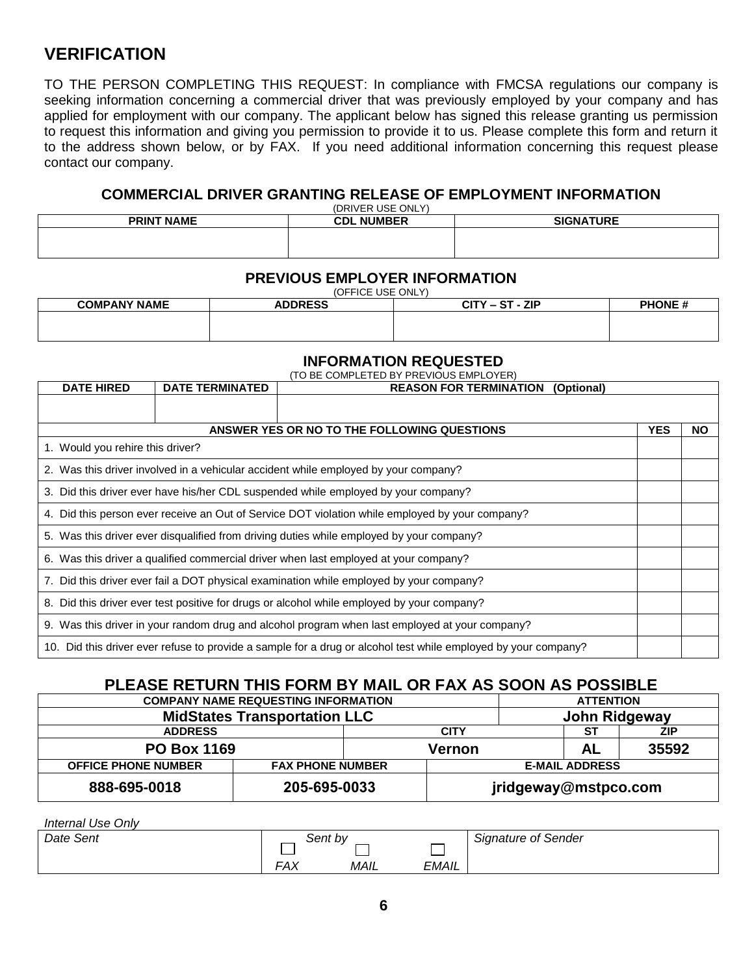# **VERIFICATION**

TO THE PERSON COMPLETING THIS REQUEST: In compliance with FMCSA regulations our company is seeking information concerning a commercial driver that was previously employed by your company and has applied for employment with our company. The applicant below has signed this release granting us permission to request this information and giving you permission to provide it to us. Please complete this form and return it to the address shown below, or by FAX. If you need additional information concerning this request please contact our company.

#### **COMMERCIAL DRIVER GRANTING RELEASE OF EMPLOYMENT INFORMATION**

| (DRIVER USE ONLY) |                   |                  |  |  |  |  |  |
|-------------------|-------------------|------------------|--|--|--|--|--|
| <b>PRINT NAME</b> | <b>CDL NUMBER</b> | <b>SIGNATURE</b> |  |  |  |  |  |
|                   |                   |                  |  |  |  |  |  |
|                   |                   |                  |  |  |  |  |  |

#### **PREVIOUS EMPLOYER INFORMATION**

(OFFICE USE ONLY)

| <b>COMPANY NAME</b> | י טי ייטב טטב טו יכו<br><b>ADDRESS</b> | $CITY - ST - ZIP$ | <b>PHONE#</b> |
|---------------------|----------------------------------------|-------------------|---------------|
|                     |                                        |                   |               |

#### **INFORMATION REQUESTED**

| <b>DATE HIRED</b>                                                                                              | <b>DATE TERMINATED</b> | (TO BE COMPLETED BY PREVIOUS EMPLOYER)<br><b>REASON FOR TERMINATION</b><br>(Optional)    |  |  |  |
|----------------------------------------------------------------------------------------------------------------|------------------------|------------------------------------------------------------------------------------------|--|--|--|
|                                                                                                                |                        |                                                                                          |  |  |  |
| ANSWER YES OR NO TO THE FOLLOWING QUESTIONS                                                                    |                        |                                                                                          |  |  |  |
| 1. Would you rehire this driver?                                                                               |                        |                                                                                          |  |  |  |
|                                                                                                                |                        | 2. Was this driver involved in a vehicular accident while employed by your company?      |  |  |  |
| 3. Did this driver ever have his/her CDL suspended while employed by your company?                             |                        |                                                                                          |  |  |  |
| 4. Did this person ever receive an Out of Service DOT violation while employed by your company?                |                        |                                                                                          |  |  |  |
|                                                                                                                |                        | 5. Was this driver ever disqualified from driving duties while employed by your company? |  |  |  |
|                                                                                                                |                        | 6. Was this driver a qualified commercial driver when last employed at your company?     |  |  |  |
|                                                                                                                |                        | 7. Did this driver ever fail a DOT physical examination while employed by your company?  |  |  |  |
| 8. Did this driver ever test positive for drugs or alcohol while employed by your company?                     |                        |                                                                                          |  |  |  |
| 9. Was this driver in your random drug and alcohol program when last employed at your company?                 |                        |                                                                                          |  |  |  |
| 10. Did this driver ever refuse to provide a sample for a drug or alcohol test while employed by your company? |                        |                                                                                          |  |  |  |

### **PLEASE RETURN THIS FORM BY MAIL OR FAX AS SOON AS POSSIBLE**

| <b>COMPANY NAME REQUESTING INFORMATION</b> |                         |  |                      | <b>ATTENTION</b>      |       |  |
|--------------------------------------------|-------------------------|--|----------------------|-----------------------|-------|--|
| <b>MidStates Transportation LLC</b>        |                         |  |                      | John Ridgeway         |       |  |
| <b>ADDRESS</b><br><b>CITY</b>              |                         |  |                      | -ST                   | ZIP   |  |
| <b>PO Box 1169</b>                         |                         |  | AL<br>Vernon         |                       | 35592 |  |
| <b>OFFICE PHONE NUMBER</b>                 | <b>FAX PHONE NUMBER</b> |  |                      | <b>E-MAIL ADDRESS</b> |       |  |
| 888-695-0018<br>205-695-0033               |                         |  | jridgeway@mstpco.com |                       |       |  |

*Internal Use Only*

| Date<br>Sent \ |                       | Sent bv |              | <b>Signature of Sender</b> |
|----------------|-----------------------|---------|--------------|----------------------------|
|                | ឴឴឴⊏៱៶៸<br>$\sqrt{2}$ | MAIL    | <b>EMAIL</b> |                            |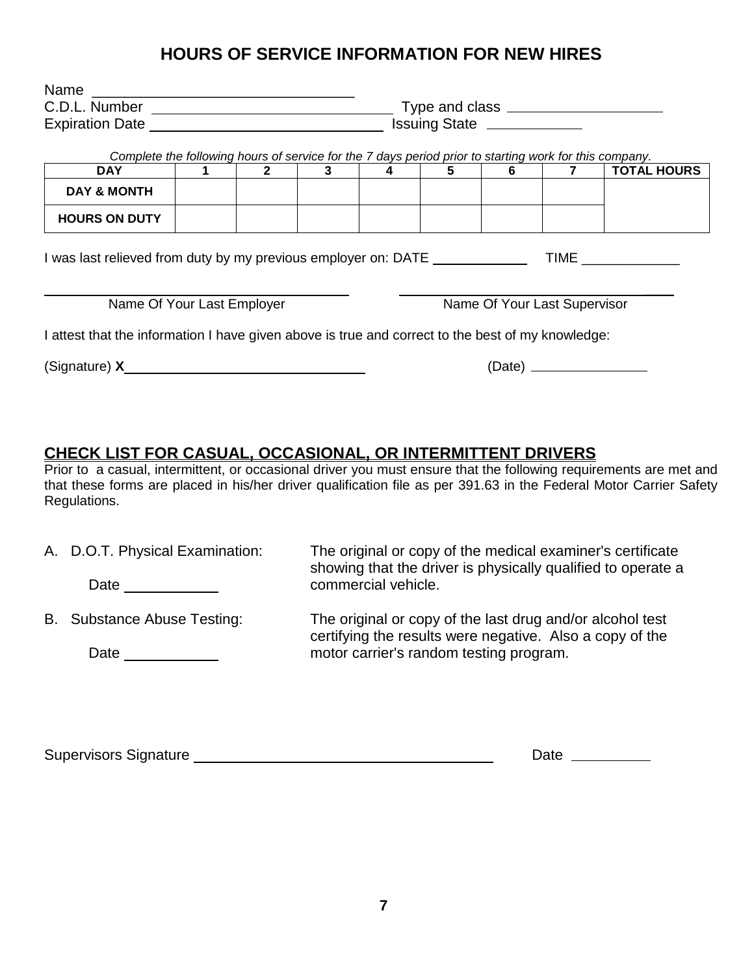## **HOURS OF SERVICE INFORMATION FOR NEW HIRES**

| Name                                                                                                                                                                                                                           |  |                |   |   |                             |                              |  |                    |  |  |
|--------------------------------------------------------------------------------------------------------------------------------------------------------------------------------------------------------------------------------|--|----------------|---|---|-----------------------------|------------------------------|--|--------------------|--|--|
|                                                                                                                                                                                                                                |  |                |   |   |                             |                              |  |                    |  |  |
|                                                                                                                                                                                                                                |  |                |   |   | Issuing State _____________ |                              |  |                    |  |  |
| Complete the following hours of service for the 7 days period prior to starting work for this company.                                                                                                                         |  |                |   |   |                             |                              |  |                    |  |  |
| <b>DAY</b>                                                                                                                                                                                                                     |  | $\overline{2}$ | 3 | 4 | 5                           | 6                            |  | <b>TOTAL HOURS</b> |  |  |
| <b>DAY &amp; MONTH</b>                                                                                                                                                                                                         |  |                |   |   |                             |                              |  |                    |  |  |
| <b>HOURS ON DUTY</b>                                                                                                                                                                                                           |  |                |   |   |                             |                              |  |                    |  |  |
| I was last relieved from duty by my previous employer on: DATE                                                                                                                                                                 |  |                |   |   |                             |                              |  | <b>TIME</b>        |  |  |
| Name Of Your Last Employer                                                                                                                                                                                                     |  |                |   |   |                             | Name Of Your Last Supervisor |  |                    |  |  |
| I attest that the information I have given above is true and correct to the best of my knowledge:                                                                                                                              |  |                |   |   |                             |                              |  |                    |  |  |
| (Signature) X Samuel Communication of Signature Communication of Signature Communication of Signature Communication of Signature Communication of Signature Communication of Signature Communication of Signature Communicatio |  |                |   |   |                             | (Date) _________________     |  |                    |  |  |
|                                                                                                                                                                                                                                |  |                |   |   |                             |                              |  |                    |  |  |

### **CHECK LIST FOR CASUAL, OCCASIONAL, OR INTERMITTENT DRIVERS**

Prior to a casual, intermittent, or occasional driver you must ensure that the following requirements are met and that these forms are placed in his/her driver qualification file as per 391.63 in the Federal Motor Carrier Safety Regulations.

| A. D.O.T. Physical Examination:<br>Date | The original or copy of the medical examiner's certificate<br>showing that the driver is physically qualified to operate a<br>commercial vehicle. |
|-----------------------------------------|---------------------------------------------------------------------------------------------------------------------------------------------------|
| B. Substance Abuse Testing:             | The original or copy of the last drug and/or alcohol test<br>certifying the results were negative. Also a copy of the                             |
| Date                                    | motor carrier's random testing program.                                                                                                           |

Supervisors Signature 2000 Communication Contract Communication Contract Date